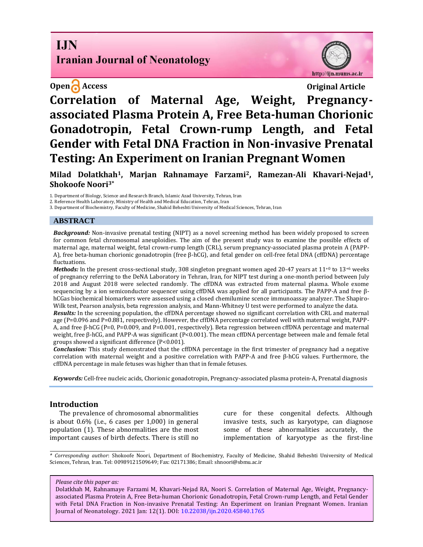## **I.IN Iranian Journal of Neonatology**

## **Open Access Original Article**

http://ijn.mums.ac.ir

# **Correlation of Maternal Age, Weight, Pregnancyassociated Plasma Protein A, Free Beta-human Chorionic Gonadotropin, Fetal Crown-rump Length, and Fetal Gender with Fetal DNA Fraction in Non-invasive Prenatal Testing: An Experiment on Iranian Pregnant Women**

**Milad Dolatkhah1, Marjan Rahnamaye Farzami2, Ramezan-Ali Khavari-Nejad1, Shokoofe Noori3\***

1. Department of Biology, Science and Research Branch, Islamic Azad University, Tehran, Iran

2. Reference Health Laboratory, Ministry of Health and Medical Education, Tehran, Iran

3. Department of Biochemistry, Faculty of Medicine, Shahid Beheshti University of Medical Sciences, Tehran, Iran

#### **ABSTRACT**

*Background:* Non-invasive prenatal testing (NIPT) as a novel screening method has been widely proposed to screen for common fetal chromosomal aneuploidies. The aim of the present study was to examine the possible effects of maternal age, maternal weight, fetal crown-rump length (CRL), serum pregnancy-associated plasma protein A (PAPP-A), free beta-human chorionic gonadotropin (free β-hCG), and fetal gender on cell-free fetal DNA (cffDNA) percentage fluctuations.

*Methods:* In the present cross-sectional study, 308 singleton pregnant women aged 20-47 years at 11<sup>+0</sup> to 13<sup>+6</sup> weeks of pregnancy referring to the DeNA Laboratory in Tehran, Iran, for NIPT test during a one-month period between July 2018 and August 2018 were selected randomly. The cffDNA was extracted from maternal plasma. Whole exome sequencing by a ion semiconductor sequencer using cffDNA was applied for all participants. The PAPP-A and free βhCGas biochemical biomarkers were assessed using a closed chemilumine scence immunoassay analyzer. The Shapiro-Wilk test, Pearson analysis, beta regression analysis, and Mann-Whitney U test were performed to analyze the data.

*Results:* In the screening population, the cffDNA percentage showed no significant correlation with CRL and maternal age (P=0.096 and P=0.881, respectively). However, the cffDNA percentage correlated well with maternal weight, PAPP-A, and free β-hCG (P=0, P=0.009, and P=0.001, respectively). Beta regression between cffDNA percentage and maternal weight, free β-hCG, and PAPP-A was significant (P<0.001). The mean cffDNA percentage between male and female fetal groups showed a significant difference (P<0.001).

*Conclusion:* This study demonstrated that the cffDNA percentage in the first trimester of pregnancy had a negative correlation with maternal weight and a positive correlation with PAPP-A and free β-hCG values. Furthermore, the cffDNA percentage in male fetuses was higher than that in female fetuses.

*Keywords:* Cell-free nucleic acids, Chorionic gonadotropin, Pregnancy-associated plasma protein-A, Prenatal diagnosis

#### **Introduction**

The prevalence of chromosomal abnormalities is about 0.6% (i.e., 6 cases per 1,000) in general population (1). These abnormalities are the most important causes of birth defects. There is still no

cure for these congenital defects. Although invasive tests, such as karyotype, can diagnose some of these abnormalities accurately, the implementation of karyotype as the first-line

*\* Corresponding author*: Shokoofe Noori, Department of Biochemistry, Faculty of Medicine, Shahid Beheshti University of Medical Sciences, Tehran, Iran. Tel: 00989121509649; Fax: 02171386; Email: shnoori@sbmu.ac.ir

*Please cite this paper as:*

Dolatkhah M, Rahnamaye Farzami M, Khavari-Nejad RA, Noori S. Correlation of Maternal Age, Weight, Pregnancyassociated Plasma Protein A, Free Beta-human Chorionic Gonadotropin, Fetal Crown-rump Length, and Fetal Gender with Fetal DNA Fraction in Non-invasive Prenatal Testing: An Experiment on Iranian Pregnant Women. Iranian Journal of Neonatology. 2021 Jan: 12(1). DOI: [10.22038/ijn.2020.45840.1765](https://ijn.mums.ac.ir/)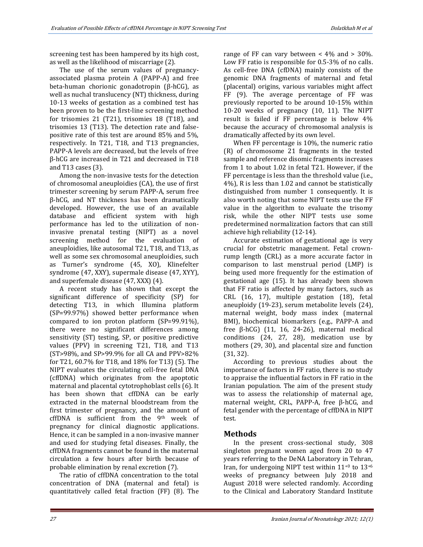screening test has been hampered by its high cost, as well as the likelihood of miscarriage (2).

The use of the serum values of pregnancyassociated plasma protein A (PAPP-A) and free beta-human chorionic gonadotropin (β-hCG), as well as nuchal translucency (NT) thickness, during 10-13 weeks of gestation as a combined test has been proven to be the first-line screening method for trisomies 21 (T21), trisomies 18 (T18), and trisomies 13 (T13). The detection rate and falsepositive rate of this test are around 85% and 5%, respectively. In T21, T18, and T13 pregnancies, PAPP-A levels are decreased, but the levels of free β-hCG are increased in T21 and decreased in T18 and T13 cases (3).

Among the non-invasive tests for the detection of chromosomal aneuploidies (CA), the use of first trimester screening by serum PAPP-A, serum free β-hCG, and NT thickness has been dramatically developed. However, the use of an available database and efficient system with high performance has led to the utilization of noninvasive prenatal testing (NIPT) as a novel screening method for the evaluation of aneuploidies, like autosomal T21, T18, and T13, as well as some sex chromosomal aneuploidies, such as Turner's syndrome (45, XO), Klinefelter syndrome (47, XXY), supermale disease (47, XYY), and superfemale disease (47, XXX) (4).

A recent study has shown that except the significant difference of specificity (SP) for detecting T13, in which Illumina platform (SP=99.97%) showed better performance when compared to ion proton platform (SP=99.91%), there were no significant differences among sensitivity (ST) testing, SP, or positive predictive values (PPV) in screening T21, T18, and T13 (ST>98%, and SP>99.9% for all CA and PPV>82% for T21, 60.7% for T18, and 18% for T13) (5). The NIPT evaluates the circulating cell-free fetal DNA (cffDNA) which originates from the apoptotic maternal and placental cytotrophoblast cells (6). It has been shown that cffDNA can be early extracted in the maternal bloodstream from the first trimester of pregnancy, and the amount of cffDNA is sufficient from the 9<sup>th</sup> week of pregnancy for clinical diagnostic applications. Hence, it can be sampled in a non-invasive manner and used for studying fetal diseases. Finally, the cffDNA fragments cannot be found in the maternal circulation a few hours after birth because of probable elimination by renal excretion (7).

The ratio of cffDNA concentration to the total concentration of DNA (maternal and fetal) is quantitatively called fetal fraction (FF) (8). The range of FF can vary between  $<$  4% and  $>$  30%. Low FF ratio is responsible for 0.5-3% of no calls. As cell-free DNA (cfDNA) mainly consists of the genomic DNA fragments of maternal and fetal (placental) origins, various variables might affect FF (9). The average percentage of FF was previously reported to be around 10-15% within 10-20 weeks of pregnancy (10, 11). The NIPT result is failed if FF percentage is below 4% because the accuracy of chromosomal analysis is dramatically affected by its own level.

When FF percentage is 10%, the numeric ratio (R) of chromosome 21 fragments in the tested sample and reference disomic fragments increases from 1 to about 1.02 in fetal T21. However, if the FF percentage is less than the threshold value (i.e., 4%), R is less than 1.02 and cannot be statistically distinguished from number 1 consequently. It is also worth noting that some NIPT tests use the FF value in the algorithm to evaluate the trisomy risk, while the other NIPT tests use some predetermined normalization factors that can still achieve high reliability (12-14).

Accurate estimation of gestational age is very crucial for obstetric management. Fetal crownrump length (CRL) as a more accurate factor in comparison to last menstrual period (LMP) is being used more frequently for the estimation of gestational age (15). It has already been shown that FF ratio is affected by many factors, such as CRL (16, 17), multiple gestation (18), fetal aneuploidy (19-23), serum metabolite levels (24), maternal weight, body mass index (maternal BMI), biochemical biomarkers (e.g., PAPP-A and free β-hCG) (11, 16, 24-26), maternal medical conditions (24, 27, 28), medication use by mothers (29, 30), and placental size and function (31, 32).

According to previous studies about the importance of factors in FF ratio, there is no study to appraise the influential factors in FF ratio in the Iranian population. The aim of the present study was to assess the relationship of maternal age, maternal weight, CRL, PAPP-A, free β-hCG, and fetal gender with the percentage of cffDNA in NIPT test.

#### **Methods**

In the present cross-sectional study, 308 singleton pregnant women aged from 20 to 47 years referring to the DeNA Laboratory in Tehran, Iran, for undergoing NIPT test within  $11^{+0}$  to  $13^{+6}$ weeks of pregnancy between July 2018 and August 2018 were selected randomly. According to the Clinical and Laboratory Standard Institute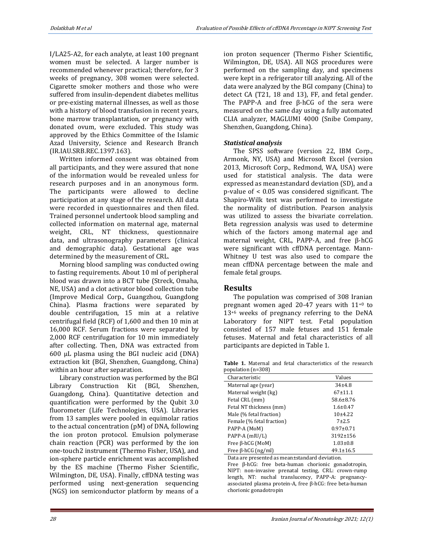I/LA25-A2, for each analyte, at least 100 pregnant women must be selected. A larger number is recommended whenever practical; therefore, for 3 weeks of pregnancy, 308 women were selected. Cigarette smoker mothers and those who were suffered from insulin-dependent diabetes mellitus or pre-existing maternal illnesses, as well as those with a history of blood transfusion in recent years, bone marrow transplantation, or pregnancy with donated ovum, were excluded. This study was approved by the Ethics Committee of the Islamic Azad University, Science and Research Branch (IR.IAU.SRB.REC.1397.163).

Written informed consent was obtained from all participants, and they were assured that none of the information would be revealed unless for research purposes and in an anonymous form. The participants were allowed to decline participation at any stage of the research. All data were recorded in questionnaires and then filed. Trained personnel undertook blood sampling and collected information on maternal age, maternal weight, CRL, NT thickness, questionnaire data, and ultrasonography parameters (clinical and demographic data). Gestational age was determined by the measurement of CRL.

Morning blood sampling was conducted owing to fasting requirements. About 10 ml of peripheral blood was drawn into a BCT tube (Streck, Omaha, NE, USA) and a clot activator blood collection tube (Improve Medical Corp., Guangzhou, Guangdong China). Plasma fractions were separated by double centrifugation, 15 min at a relative centrifugal field (RCF) of 1,600 and then 10 min at 16,000 RCF. Serum fractions were separated by 2,000 RCF centrifugation for 10 min immediately after collecting. Then, DNA was extracted from 600 µL plasma using the BGI nucleic acid (DNA) extraction kit (BGI, Shenzhen, Guangdong, China) within an hour after separation.

Library construction was performed by the BGI Library Construction Kit (BGI, Shenzhen, Guangdong, China). Quantitative detection and quantification were performed by the Qubit 3.0 fluorometer (Life Technologies, USA). Libraries from 13 samples were pooled in equimolar ratios to the actual concentration (pM) of DNA, following the ion proton protocol. Emulsion polymerase chain reaction (PCR) was performed by the ion one-touch2 instrument (Thermo Fisher, USA), and ion-sphere particle enrichment was accomplished by the ES machine (Thermo Fisher Scientific, Wilmington, DE, USA). Finally, cffDNA testing was performed using next-generation sequencing (NGS) ion semiconductor platform by means of a ion proton sequencer (Thermo Fisher Scientific, Wilmington, DE, USA). All NGS procedures were performed on the sampling day, and specimens were kept in a refrigerator till analyzing. All of the data were analyzed by the BGI company (China) to detect CA (T21, 18 and 13), FF, and fetal gender. The PAPP-A and free β-hCG of the sera were measured on the same day using a fully automated CLIA analyzer, MAGLUMI 4000 (Snibe Company, Shenzhen, Guangdong, China).

#### *Statistical analysis*

The SPSS software (version 22, IBM Corp., Armonk, NY, USA) and Microsoft Excel (version 2013, Microsoft Corp., Redmond, WA, USA) were used for statistical analysis. The data were expressed as mean±standard deviation (SD), and a p-value of < 0.05 was considered significant. The Shapiro-Wilk test was performed to investigate the normality of distribution. Pearson analysis was utilized to assess the bivariate correlation. Beta regression analysis was used to determine which of the factors among maternal age and maternal weight, CRL, PAPP-A, and free β-hCG were significant with cffDNA percentage. Mann-Whitney U test was also used to compare the mean cffDNA percentage between the male and female fetal groups.

#### **Results**

The population was comprised of 308 Iranian pregnant women aged 20-47 years with  $11^{+0}$  to 13+6 weeks of pregnancy referring to the DeNA Laboratory for NIPT test. Fetal population consisted of 157 male fetuses and 151 female fetuses. Maternal and fetal characteristics of all participants are depicted in Table 1.

**Table 1.** Maternal and fetal characteristics of the research population (n=308)

| population (n. 000)       |                 |  |  |
|---------------------------|-----------------|--|--|
| Characteristic            | Values          |  |  |
| Maternal age (year)       | $34+4.8$        |  |  |
| Maternal weight (kg)      | $67+11.1$       |  |  |
| Fetal CRL (mm)            | 58.6±8.76       |  |  |
| Fetal NT thickness (mm)   | $1.6 \pm 0.47$  |  |  |
| Male (% fetal fraction)   | $10+4.22$       |  |  |
| Female (% fetal fraction) | $7 + 2.5$       |  |  |
| PAPP-A (MoM)              | $0.97 \pm 0.71$ |  |  |
| PAPP-A (mIU/L)            | 3192±156        |  |  |
| Free $\beta$ -hCG (MoM)   | $1.03 \pm 0.8$  |  |  |
| Free $\beta$ -hCG (ng/ml) | $49.1 \pm 16.5$ |  |  |

Data are presented as mean±standard deviation.

Free β-hCG: free beta-human chorionic gonadotropin, NIPT: non-invasive prenatal testing, CRL: crown-rump length, NT: nuchal translucency, PAPP-A: pregnancyassociated plasma protein-A, free β-hCG: free beta-human chorionic gonadotropin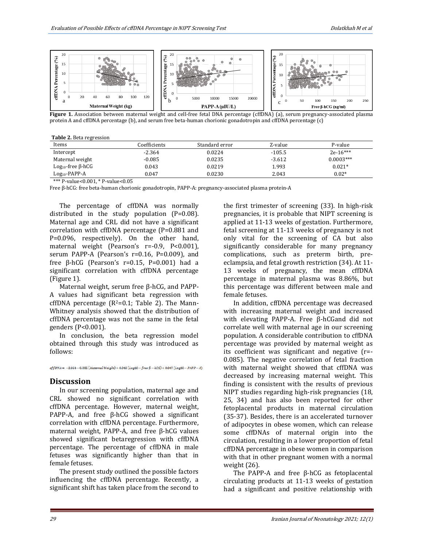

**Figure 1.** Association between maternal weight and cell-free fetal DNA percentage (cffDNA) (a), serum pregnancy-associated plasma and cell-free fetal DNA percentage (cffDNA) (a), serum pregnancy-associated plasma rigure 1. Association between maternal weight and cell-free letal DNA percentage (cliDNA) (a), serum pregnanc<br>protein A and cffDNA percentage (b), and serum free beta-human chorionic gonadotropin and cffDNA percentage (c)

|  | <b>Table 2.</b> Beta regression |
|--|---------------------------------|
|  |                                 |

| Items                         | Coefficients | Standard error | Z-value  | P-value     |
|-------------------------------|--------------|----------------|----------|-------------|
| Intercept                     | $-2.364$     | 0.0224         | $-105.5$ | $2e-16***$  |
| Maternal weight               | $-0.085$     | 0.0235         | $-3.612$ | $0.0003***$ |
| $Log_{10}$ -free $\beta$ -hCG | 0.043        | 0.0219         | 1.993    | $0.021*$    |
| $Log10-PAPP-A$                | 0.047        | 0.0230         | 2.043    | $0.02*$     |

\*\*\* P-value<0.001, \* P-value<0.05

Free β-hCG: free beta-human chorionic gonadotropin, PAPP-A: pregnancy-associated plasma protein-A

The percentage of cffDNA was normally distributed in the study population (P=0.08). Maternal age and CRL did not have a significant correlation with cffDNA percentage (P=0.881 and P=0.096, respectively). On the other hand, maternal weight (Pearson's r=-0.9, P<0.001), serum PAPP-A (Pearson's r=0.16, P=0.009), and free β-hCG (Pearson's r=0.15, P=0.001) had a significant correlation with cffDNA percentage (Figure 1).

Maternal weight, serum free β-hCG, and PAPP-A values had significant beta regression with cffDNA percentage  $(R^2=0.1;$  Table 2). The Mann-Whitney analysis showed that the distribution of cffDNA percentage was not the same in the fetal genders (P<0.001).

In conclusion, the beta regression model obtained through this study was introduced as follows:

 $\mathit{cffDNA} \,=\, -2.364 - 0.085 \,(\textit{Material Weight}) + 0.043 \,(\textit{Log} \, 10 - \textit{free }\beta - \textit{hCG}) + 0.047 \,(\textit{Log} \, 10 - \textit{PAPP} - A)$ 

#### **Discussion**

In our screening population, maternal age and CRL showed no significant correlation with cffDNA percentage. However, maternal weight, PAPP-A, and free β-hCG showed a significant correlation with cffDNA percentage. Furthermore, maternal weight, PAPP-A, and free β-hCG values showed significant betaregression with cffDNA percentage. The percentage of cffDNA in male fetuses was significantly higher than that in female fetuses.

The present study outlined the possible factors influencing the cffDNA percentage. Recently, a significant shift has taken place from the second to the first trimester of screening (33). In high-risk pregnancies, it is probable that NIPT screening is applied at 11-13 weeks of gestation. Furthermore, fetal screening at 11-13 weeks of pregnancy is not only vital for the screening of CA but also significantly considerable for many pregnancy complications, such as preterm birth, preeclampsia, and fetal growth restriction (34). At 11- 13 weeks of pregnancy, the mean cffDNA percentage in maternal plasma was 8.86%, but this percentage was different between male and female fetuses.

In addition, cffDNA percentage was decreased with increasing maternal weight and increased with elevating PAPP-A. Free β-hCGand did not correlate well with maternal age in our screening population. A considerable contribution to cffDNA percentage was provided by maternal weight as its coefficient was significant and negative (r=- 0.085). The negative correlation of fetal fraction with maternal weight showed that cffDNA was decreased by increasing maternal weight. This finding is consistent with the results of previous NIPT studies regarding high-risk pregnancies (18, 25, 34) and has also been reported for other fetoplacental products in maternal circulation (35-37). Besides, there is an accelerated turnover of adipocytes in obese women, which can release some cffDNAs of maternal origin into the circulation, resulting in a lower proportion of fetal cffDNA percentage in obese women in comparison with that in other pregnant women with a normal weight (26).

The PAPP-A and free β-hCG as fetoplacental circulating products at 11-13 weeks of gestation had a significant and positive relationship with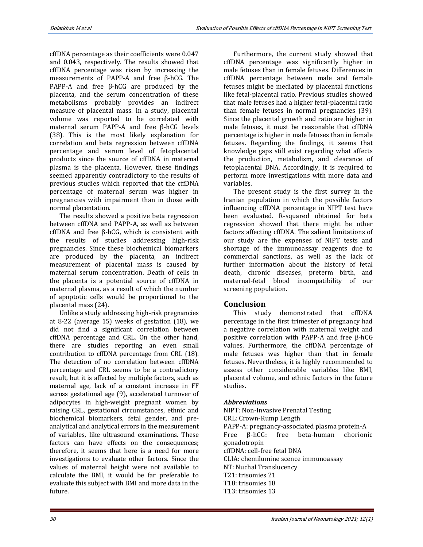cffDNA percentage as their coefficients were 0.047 and 0.043, respectively. The results showed that cffDNA percentage was risen by increasing the measurements of PAPP-A and free β-hCG. The PAPP-A and free β-hCG are produced by the placenta, and the serum concentration of these metabolisms probably provides an indirect measure of placental mass. In a study, placental volume was reported to be correlated with maternal serum PAPP-A and free β-hCG levels (38). This is the most likely explanation for correlation and beta regression between cffDNA percentage and serum level of fetoplacental products since the source of cffDNA in maternal plasma is the placenta. However, these findings seemed apparently contradictory to the results of previous studies which reported that the cffDNA percentage of maternal serum was higher in pregnancies with impairment than in those with normal placentation.

The results showed a positive beta regression between cffDNA and PAPP-A, as well as between cffDNA and free β-hCG, which is consistent with the results of studies addressing high-risk pregnancies. Since these biochemical biomarkers are produced by the placenta, an indirect measurement of placental mass is caused by maternal serum concentration. Death of cells in the placenta is a potential source of cffDNA in maternal plasma, as a result of which the number of apoptotic cells would be proportional to the placental mass (24).

Unlike a study addressing high-risk pregnancies at 8-22 (average 15) weeks of gestation (18), we did not find a significant correlation between cffDNA percentage and CRL. On the other hand, there are studies reporting an even small contribution to cffDNA percentage from CRL (18). The detection of no correlation between cffDNA percentage and CRL seems to be a contradictory result, but it is affected by multiple factors, such as maternal age, lack of a constant increase in FF across gestational age (9), accelerated turnover of adipocytes in high-weight pregnant women by raising CRL, gestational circumstances, ethnic and biochemical biomarkers, fetal gender, and preanalytical and analytical errors in the measurement of variables, like ultrasound examinations. These factors can have effects on the consequences; therefore, it seems that here is a need for more investigations to evaluate other factors. Since the values of maternal height were not available to calculate the BMI, it would be far preferable to evaluate this subject with BMI and more data in the future.

Furthermore, the current study showed that cffDNA percentage was significantly higher in male fetuses than in female fetuses. Differences in cffDNA percentage between male and female fetuses might be mediated by placental functions like fetal-placental ratio. Previous studies showed that male fetuses had a higher fetal-placental ratio than female fetuses in normal pregnancies (39). Since the placental growth and ratio are higher in male fetuses, it must be reasonable that cffDNA percentage is higher in male fetuses than in female fetuses. Regarding the findings, it seems that knowledge gaps still exist regarding what affects the production, metabolism, and clearance of fetoplacental DNA. Accordingly, it is required to perform more investigations with more data and variables.

The present study is the first survey in the Iranian population in which the possible factors influencing cffDNA percentage in NIPT test have been evaluated. R-squared obtained for beta regression showed that there might be other factors affecting cffDNA. The salient limitations of our study are the expenses of NIPT tests and shortage of the immunoassay reagents due to commercial sanctions, as well as the lack of further information about the history of fetal death, chronic diseases, preterm birth, and maternal-fetal blood incompatibility of our screening population.

#### **Conclusion**

This study demonstrated that cffDNA percentage in the first trimester of pregnancy had a negative correlation with maternal weight and positive correlation with PAPP-A and free β-hCG values. Furthermore, the cffDNA percentage of male fetuses was higher than that in female fetuses. Nevertheless, it is highly recommended to assess other considerable variables like BMI, placental volume, and ethnic factors in the future studies.

#### *Abbreviations*

NIPT: Non-Invasive Prenatal Testing CRL: Crown-Rump Length PAPP-A: pregnancy-associated plasma protein-A Free β-hCG: free beta-human chorionic gonadotropin cffDNA: cell-free fetal DNA CLIA: chemilumine scence immunoassay NT: Nuchal Translucency T21: trisomies 21 T18: trisomies 18 T13: trisomies 13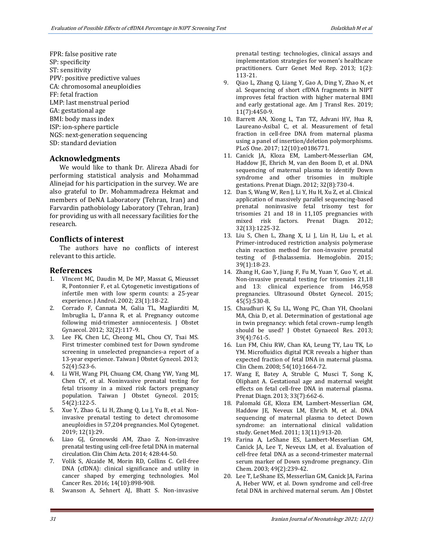FPR: false positive rate SP: specificity ST: sensitivity PPV: positive predictive values CA: chromosomal aneuploidies FF: fetal fraction LMP: last menstrual period GA: gestational age BMI: body mass index ISP: ion-sphere particle NGS: next-generation sequencing SD: standard deviation

#### **Acknowledgments**

We would like to thank Dr. Alireza Abadi for performing statistical analysis and Mohammad Alinejad for his participation in the survey. We are also grateful to Dr. Mohammadreza Hekmat and members of DeNA Laboratory (Tehran, Iran) and Farvardin pathobiology Laboratory (Tehran, Iran) for providing us with all necessary facilities for the research.

#### **Conflicts of interest**

The authors have no conflicts of interest relevant to this article.

### **References**

- 1. VIncent MC, Daudin M, De MP, Massat G, Mieusset R, Pontonnier F, et al. Cytogenetic investigations of infertile men with low sperm counts: a 25‐year experience. J Androl. 2002; 23(1):18-22.
- 2. Corrado F, Cannata M, Galia TL, Magliarditi M, Imbruglia L, D'anna R, et al. Pregnancy outcome following mid-trimester amniocentesis. J Obstet Gynaecol. 2012; 32(2):117-9.
- 3. Lee FK, Chen LC, Cheong ML, Chou CY, Tsai MS. First trimester combined test for Down syndrome screening in unselected pregnancies-a report of a 13-year experience. Taiwan J Obstet Gynecol. 2013; 52(4):523-6.
- 4. Li WH, Wang PH, Chuang CM, Chang YW, Yang MJ, Chen CY, et al. Noninvasive prenatal testing for fetal trisomy in a mixed risk factors pregnancy population. Taiwan J Obstet Gynecol. 2015; 54(2):122-5.
- 5. Xue Y, Zhao G, Li H, Zhang Q, Lu J, Yu B, et al. Noninvasive prenatal testing to detect chromosome aneuploidies in 57,204 pregnancies. Mol Cytogenet. 2019; 12(1):29.
- 6. Liao GJ, Gronowski AM, Zhao Z. Non-invasive prenatal testing using cell-free fetal DNA in maternal circulation. Clin Chim Acta. 2014; 428:44-50.
- 7. Volik S, Alcaide M, Morin RD, Collins C. Cell-free DNA (cfDNA): clinical significance and utility in cancer shaped by emerging technologies. Mol Cancer Res. 2016; 14(10):898-908.
- 8. Swanson A, Sehnert AJ, Bhatt S. Non-invasive

prenatal testing: technologies, clinical assays and implementation strategies for women's healthcare practitioners. Curr Genet Med Rep. 2013; 1(2): 113-21.

- 9. Qiao L, Zhang Q, Liang Y, Gao A, Ding Y, Zhao N, et al. Sequencing of short cfDNA fragments in NIPT improves fetal fraction with higher maternal BMI and early gestational age. Am J Transl Res. 2019; 11(7):4450-9.
- 10. Barrett AN, Xiong L, Tan TZ, Advani HV, Hua R, Laureano-Asibal C, et al. Measurement of fetal fraction in cell-free DNA from maternal plasma using a panel of insertion/deletion polymorphisms. PLoS One. 2017; 12(10):e0186771.
- 11. Canick JA, Kloza EM, Lambert‐Messerlian GM, Haddow JE, Ehrich M, van den Boom D, et al. DNA sequencing of maternal plasma to identify Down syndrome and other trisomies in multiple gestations. Prenat Diagn. 2012; 32(8):730-4.
- 12. Dan S, Wang W, Ren J, Li Y, Hu H, Xu Z, et al. Clinical application of massively parallel sequencing‐based prenatal noninvasive fetal trisomy test for trisomies 21 and 18 in 11,105 pregnancies with mixed risk factors. Prenat Diagn. 2012; 32(13):1225-32.
- 13. Liu S, Chen L, Zhang X, Li J, Lin H, Liu L, et al. Primer-introduced restriction analysis polymerase chain reaction method for non-invasive prenatal testing of β-thalassemia. Hemoglobin. 2015; 39(1):18-23.
- 14. Zhang H, Gao Y, Jiang F, Fu M, Yuan Y, Guo Y, et al. Non‐invasive prenatal testing for trisomies 21,18 and 13: clinical experience from 146,958 pregnancies. Ultrasound Obstet Gynecol. 2015; 45(5):530-8.
- 15. Chaudhuri K, Su LL, Wong PC, Chan YH, Choolani MA, Chia D, et al. Determination of gestational age in twin pregnancy: which fetal crown–rump length should be used? J Obstet Gynaecol Res. 2013; 39(4):761-5.
- 16. Lun FM, Chiu RW, Chan KA, Leung TY, Lau TK, Lo YM. Microfluidics digital PCR reveals a higher than expected fraction of fetal DNA in maternal plasma. Clin Chem. 2008; 54(10):1664-72.
- 17. Wang E, Batey A, Struble C, Musci T, Song K, Oliphant A. Gestational age and maternal weight effects on fetal cell‐free DNA in maternal plasma. Prenat Diagn. 2013; 33(7):662-6.
- 18. Palomaki GE, Kloza EM, Lambert-Messerlian GM, Haddow JE, Neveux LM, Ehrich M, et al. DNA sequencing of maternal plasma to detect Down syndrome: an international clinical validation study. Genet Med. 2011; 13(11):913-20.
- 19. Farina A, LeShane ES, Lambert-Messerlian GM, Canick JA, Lee T, Neveux LM, et al. Evaluation of cell-free fetal DNA as a second-trimester maternal serum marker of Down syndrome pregnancy. Clin Chem. 2003; 49(2):239-42.
- 20. Lee T, LeShane ES, Messerlian GM, Canick JA, Farina A, Heber WW, et al. Down syndrome and cell-free fetal DNA in archived maternal serum. Am J Obstet